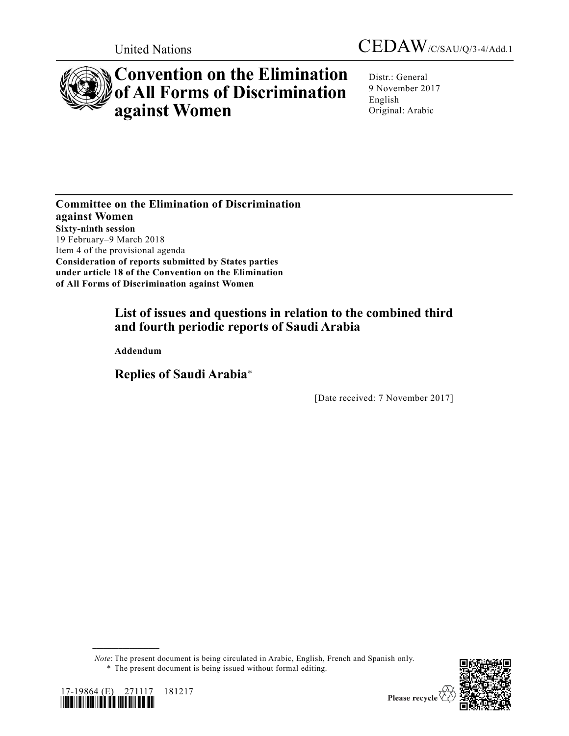



# **Convention on the Elimination of All Forms of Discrimination against Women**

Distr.: General 9 November 2017 English Original: Arabic

**Committee on the Elimination of Discrimination against Women Sixty-ninth session** 19 February–9 March 2018 Item 4 of the provisional agenda **Consideration of reports submitted by States parties under article 18 of the Convention on the Elimination of All Forms of Discrimination against Women**

# **List of issues and questions in relation to the combined third and fourth periodic reports of Saudi Arabia**

**Addendum**

**Replies of Saudi Arabia**\*

[Date received: 7 November 2017]

*Note*: The present document is being circulated in Arabic, English, French and Spanish only.

<sup>\*</sup> The present document is being issued without formal editing.



**\_\_\_\_\_\_\_\_\_\_\_\_\_\_\_\_\_\_**



Please recycle  $\Diamond$ 

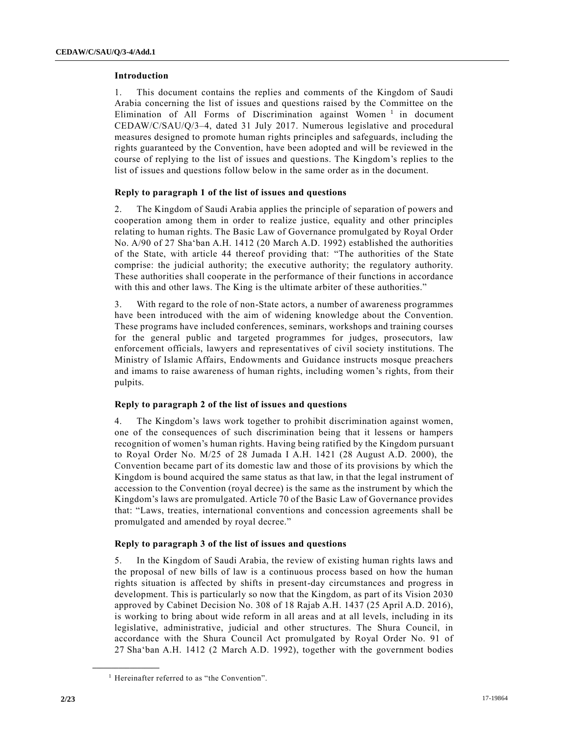#### **Introduction**

1. This document contains the replies and comments of the Kingdom of Saudi Arabia concerning the list of issues and questions raised by the Committee on the Elimination of All Forms of Discrimination against Women<sup>1</sup> in document CEDAW/C/SAU/Q/3–4, dated 31 July 2017. Numerous legislative and procedural measures designed to promote human rights principles and safeguards, including the rights guaranteed by the Convention, have been adopted and will be reviewed in the course of replying to the list of issues and questions. The Kingdom's replies to the list of issues and questions follow below in the same order as in the document.

# **Reply to paragraph 1 of the list of issues and questions**

2. The Kingdom of Saudi Arabia applies the principle of separation of powers and cooperation among them in order to realize justice, equality and other principles relating to human rights. The Basic Law of Governance promulgated by Royal Order No. A/90 of 27 Sha'ban A.H. 1412 (20 March A.D. 1992) established the authorities of the State, with article 44 thereof providing that: "The authorities of the State comprise: the judicial authority; the executive authority; the regulatory authority. These authorities shall cooperate in the performance of their functions in accordance with this and other laws. The King is the ultimate arbiter of these authorities."

3. With regard to the role of non-State actors, a number of awareness programmes have been introduced with the aim of widening knowledge about the Convention. These programs have included conferences, seminars, workshops and training courses for the general public and targeted programmes for judges, prosecutors, law enforcement officials, lawyers and representatives of civil society institutions. The Ministry of Islamic Affairs, Endowments and Guidance instructs mosque preachers and imams to raise awareness of human rights, including women's rights, from their pulpits.

#### **Reply to paragraph 2 of the list of issues and questions**

4. The Kingdom's laws work together to prohibit discrimination against women, one of the consequences of such discrimination being that it lessens or hampers recognition of women's human rights. Having being ratified by the Kingdom pursuan t to Royal Order No. M/25 of 28 Jumada I A.H. 1421 (28 August A.D. 2000), the Convention became part of its domestic law and those of its provisions by which the Kingdom is bound acquired the same status as that law, in that the legal instrument of accession to the Convention (royal decree) is the same as the instrument by which the Kingdom's laws are promulgated. Article 70 of the Basic Law of Governance provides that: "Laws, treaties, international conventions and concession agreements shall be promulgated and amended by royal decree."

#### **Reply to paragraph 3 of the list of issues and questions**

5. In the Kingdom of Saudi Arabia, the review of existing human rights laws and the proposal of new bills of law is a continuous process based on how the human rights situation is affected by shifts in present-day circumstances and progress in development. This is particularly so now that the Kingdom, as part of its Vision 2030 approved by Cabinet Decision No. 308 of 18 Rajab A.H. 1437 (25 April A.D. 2016), is working to bring about wide reform in all areas and at all levels, including in its legislative, administrative, judicial and other structures. The Shura Council, in accordance with the Shura Council Act promulgated by Royal Order No. 91 of 27 Sha'ban A.H. 1412 (2 March A.D. 1992), together with the government bodies

**\_\_\_\_\_\_\_\_\_\_\_\_\_\_\_\_\_\_**

<sup>&</sup>lt;sup>1</sup> Hereinafter referred to as "the Convention".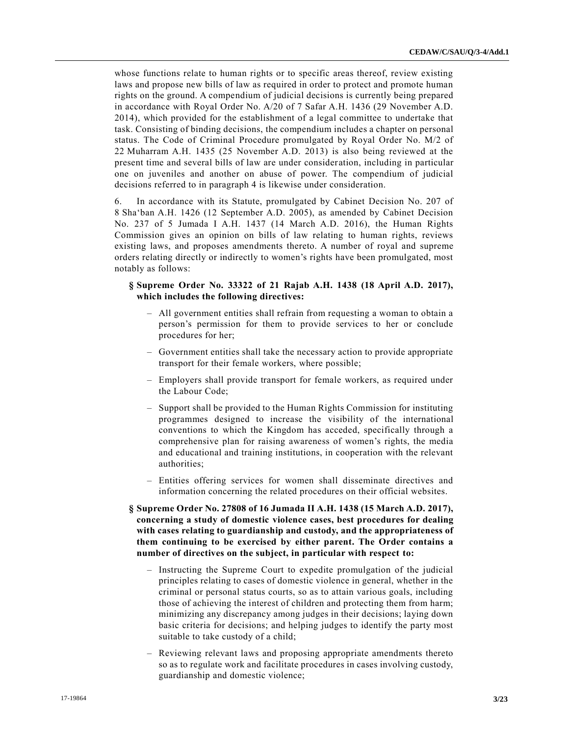whose functions relate to human rights or to specific areas thereof, review existing laws and propose new bills of law as required in order to protect and promote human rights on the ground. A compendium of judicial decisions is currently being prepared in accordance with Royal Order No. A/20 of 7 Safar A.H. 1436 (29 November A.D. 2014), which provided for the establishment of a legal committee to undertake that task. Consisting of binding decisions, the compendium includes a chapter on personal status. The Code of Criminal Procedure promulgated by Royal Order No. M/2 of 22 Muharram A.H. 1435 (25 November A.D. 2013) is also being reviewed at the present time and several bills of law are under consideration, including in particular one on juveniles and another on abuse of power. The compendium of judicial decisions referred to in paragraph 4 is likewise under consideration.

6. In accordance with its Statute, promulgated by Cabinet Decision No. 207 of 8 Sha'ban A.H. 1426 (12 September A.D. 2005), as amended by Cabinet Decision No. 237 of 5 Jumada I A.H. 1437 (14 March A.D. 2016), the Human Rights Commission gives an opinion on bills of law relating to human rights, reviews existing laws, and proposes amendments thereto. A number of royal and supreme orders relating directly or indirectly to women's rights have been promulgated, most notably as follows:

# **§ Supreme Order No. 33322 of 21 Rajab A.H. 1438 (18 April A.D. 2017), which includes the following directives:**

- All government entities shall refrain from requesting a woman to obtain a person's permission for them to provide services to her or conclude procedures for her;
- Government entities shall take the necessary action to provide appropriate transport for their female workers, where possible;
- Employers shall provide transport for female workers, as required under the Labour Code;
- Support shall be provided to the Human Rights Commission for instituting programmes designed to increase the visibility of the international conventions to which the Kingdom has acceded, specifically through a comprehensive plan for raising awareness of women's rights, the media and educational and training institutions, in cooperation with the relevant authorities;
- Entities offering services for women shall disseminate directives and information concerning the related procedures on their official websites.
- **§ Supreme Order No. 27808 of 16 Jumada II A.H. 1438 (15 March A.D. 2017), concerning a study of domestic violence cases, best procedures for dealing with cases relating to guardianship and custody, and the appropriateness of them continuing to be exercised by either parent. The Order contains a number of directives on the subject, in particular with respect to:**
	- Instructing the Supreme Court to expedite promulgation of the judicial principles relating to cases of domestic violence in general, whether in the criminal or personal status courts, so as to attain various goals, including those of achieving the interest of children and protecting them from harm; minimizing any discrepancy among judges in their decisions; laying down basic criteria for decisions; and helping judges to identify the party most suitable to take custody of a child;
	- Reviewing relevant laws and proposing appropriate amendments thereto so as to regulate work and facilitate procedures in cases involving custody, guardianship and domestic violence;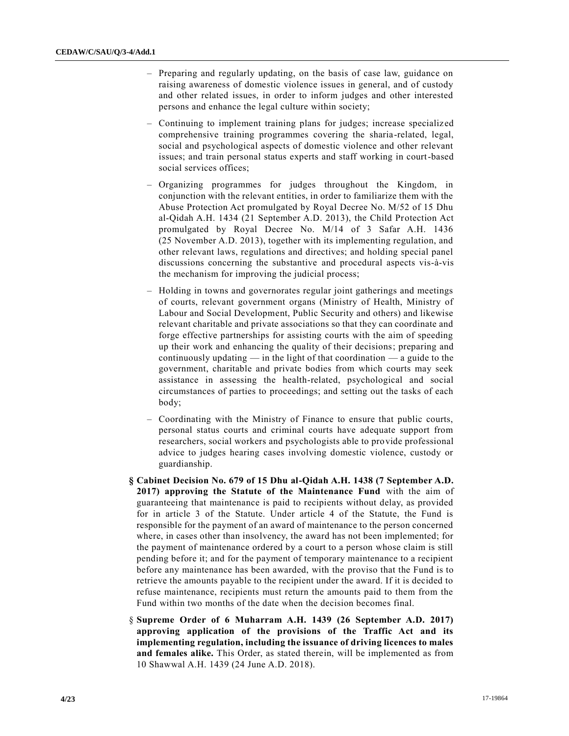- Preparing and regularly updating, on the basis of case law, guidance on raising awareness of domestic violence issues in general, and of custody and other related issues, in order to inform judges and other interested persons and enhance the legal culture within society;
- Continuing to implement training plans for judges; increase specializ ed comprehensive training programmes covering the sharia-related, legal, social and psychological aspects of domestic violence and other relevant issues; and train personal status experts and staff working in court-based social services offices;
- Organizing programmes for judges throughout the Kingdom, in conjunction with the relevant entities, in order to familiarize them with the Abuse Protection Act promulgated by Royal Decree No. M/52 of 15 Dhu al-Qidah A.H. 1434 (21 September A.D. 2013), the Child Protection Act promulgated by Royal Decree No. M/14 of 3 Safar A.H. 1436 (25 November A.D. 2013), together with its implementing regulation, and other relevant laws, regulations and directives; and holding special panel discussions concerning the substantive and procedural aspects vis-à-vis the mechanism for improving the judicial process;
- Holding in towns and governorates regular joint gatherings and meetings of courts, relevant government organs (Ministry of Health, Ministry of Labour and Social Development, Public Security and others) and likewise relevant charitable and private associations so that they can coordinate and forge effective partnerships for assisting courts with the aim of speeding up their work and enhancing the quality of their decisions; preparing and continuously updating — in the light of that coordination — a guide to the government, charitable and private bodies from which courts may seek assistance in assessing the health-related, psychological and social circumstances of parties to proceedings; and setting out the tasks of each body;
- Coordinating with the Ministry of Finance to ensure that public courts, personal status courts and criminal courts have adequate support from researchers, social workers and psychologists able to provide professional advice to judges hearing cases involving domestic violence, custody or guardianship.
- **§ Cabinet Decision No. 679 of 15 Dhu al-Qidah A.H. 1438 (7 September A.D. 2017) approving the Statute of the Maintenance Fund** with the aim of guaranteeing that maintenance is paid to recipients without delay, as provided for in article 3 of the Statute. Under article 4 of the Statute, the Fund is responsible for the payment of an award of maintenance to the person concerned where, in cases other than insolvency, the award has not been implemented; for the payment of maintenance ordered by a court to a person whose claim is still pending before it; and for the payment of temporary maintenance to a recipient before any maintenance has been awarded, with the proviso that the Fund is to retrieve the amounts payable to the recipient under the award. If it is decided to refuse maintenance, recipients must return the amounts paid to them from the Fund within two months of the date when the decision becomes final.
- § **Supreme Order of 6 Muharram A.H. 1439 (26 September A.D. 2017) approving application of the provisions of the Traffic Act and its implementing regulation, including the issuance of driving licences to males and females alike.** This Order, as stated therein, will be implemented as from 10 Shawwal A.H. 1439 (24 June A.D. 2018).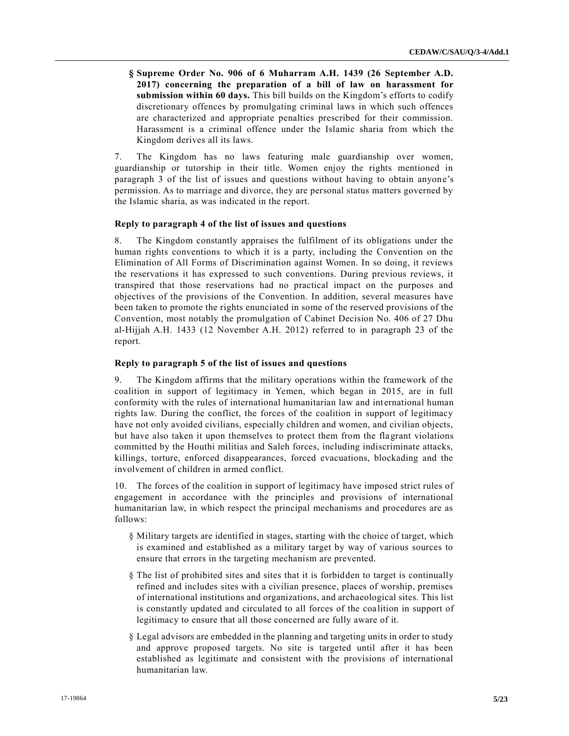**§ Supreme Order No. 906 of 6 Muharram A.H. 1439 (26 September A.D. 2017) concerning the preparation of a bill of law on harassment for submission within 60 days.** This bill builds on the Kingdom's efforts to codify discretionary offences by promulgating criminal laws in which such offences are characterized and appropriate penalties prescribed for their commission. Harassment is a criminal offence under the Islamic sharia from which the Kingdom derives all its laws.

7. The Kingdom has no laws featuring male guardianship over women, guardianship or tutorship in their title. Women enjoy the rights mentioned in paragraph 3 of the list of issues and questions without having to obtain anyone's permission. As to marriage and divorce, they are personal status matters governed by the Islamic sharia, as was indicated in the report.

#### **Reply to paragraph 4 of the list of issues and questions**

8. The Kingdom constantly appraises the fulfilment of its obligations under the human rights conventions to which it is a party, including the Convention on the Elimination of All Forms of Discrimination against Women. In so doing, it reviews the reservations it has expressed to such conventions. During previous reviews, it transpired that those reservations had no practical impact on the purposes and objectives of the provisions of the Convention. In addition, several measures have been taken to promote the rights enunciated in some of the reserved provisions of the Convention, most notably the promulgation of Cabinet Decision No. 406 of 27 Dhu al-Hijjah A.H. 1433 (12 November A.H. 2012) referred to in paragraph 23 of the report.

# **Reply to paragraph 5 of the list of issues and questions**

9. The Kingdom affirms that the military operations within the framework of the coalition in support of legitimacy in Yemen, which began in 2015, are in full conformity with the rules of international humanitarian law and international human rights law. During the conflict, the forces of the coalition in support of legitimacy have not only avoided civilians, especially children and women, and civilian objects, but have also taken it upon themselves to protect them from the flagrant violations committed by the Houthi militias and Saleh forces, including indiscriminate attacks, killings, torture, enforced disappearances, forced evacuations, blockading and the involvement of children in armed conflict.

10. The forces of the coalition in support of legitimacy have imposed strict rules of engagement in accordance with the principles and provisions of international humanitarian law, in which respect the principal mechanisms and procedures are as follows:

- § Military targets are identified in stages, starting with the choice of target, which is examined and established as a military target by way of various sources to ensure that errors in the targeting mechanism are prevented.
- § The list of prohibited sites and sites that it is forbidden to target is continually refined and includes sites with a civilian presence, places of worship, premises of international institutions and organizations, and archaeological sites. This list is constantly updated and circulated to all forces of the coa lition in support of legitimacy to ensure that all those concerned are fully aware of it.
- § Legal advisors are embedded in the planning and targeting units in order to study and approve proposed targets. No site is targeted until after it has been established as legitimate and consistent with the provisions of international humanitarian law.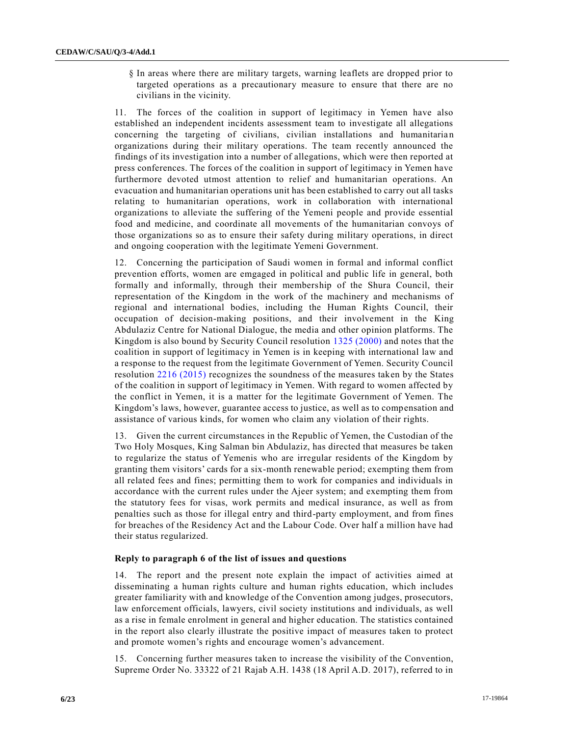§ In areas where there are military targets, warning leaflets are dropped prior to targeted operations as a precautionary measure to ensure that there are no civilians in the vicinity.

11. The forces of the coalition in support of legitimacy in Yemen have also established an independent incidents assessment team to investigate all allegations concerning the targeting of civilians, civilian installations and humanitarian organizations during their military operations. The team recently announced the findings of its investigation into a number of allegations, which were then reported at press conferences. The forces of the coalition in support of legitimacy in Yemen have furthermore devoted utmost attention to relief and humanitarian operations. An evacuation and humanitarian operations unit has been established to carry out all tasks relating to humanitarian operations, work in collaboration with international organizations to alleviate the suffering of the Yemeni people and provide essential food and medicine, and coordinate all movements of the humanitarian convoys of those organizations so as to ensure their safety during military operations, in direct and ongoing cooperation with the legitimate Yemeni Government.

12. Concerning the participation of Saudi women in formal and informal conflict prevention efforts, women are emgaged in political and public life in general, both formally and informally, through their membership of the Shura Council, their representation of the Kingdom in the work of the machinery and mechanisms of regional and international bodies, including the Human Rights Council, their occupation of decision-making positions, and their involvement in the King Abdulaziz Centre for National Dialogue, the media and other opinion platforms. The Kingdom is also bound by Security Council resolution [1325 \(2000\)](https://undocs.org/S/RES/1325(2000)) and notes that the coalition in support of legitimacy in Yemen is in keeping with international law and a response to the request from the legitimate Government of Yemen. Security Council resolution [2216 \(2015\)](https://undocs.org/S/RES/2216(2015)) recognizes the soundness of the measures taken by the States of the coalition in support of legitimacy in Yemen. With regard to women affected by the conflict in Yemen, it is a matter for the legitimate Government of Yemen. The Kingdom's laws, however, guarantee access to justice, as well as to compensation and assistance of various kinds, for women who claim any violation of their rights.

13. Given the current circumstances in the Republic of Yemen, the Custodian of the Two Holy Mosques, King Salman bin Abdulaziz, has directed that measures be taken to regularize the status of Yemenis who are irregular residents of the Kingdom by granting them visitors' cards for a six-month renewable period; exempting them from all related fees and fines; permitting them to work for companies and individuals in accordance with the current rules under the Ajeer system; and exempting them from the statutory fees for visas, work permits and medical insurance, as well as from penalties such as those for illegal entry and third-party employment, and from fines for breaches of the Residency Act and the Labour Code. Over half a million have had their status regularized.

#### **Reply to paragraph 6 of the list of issues and questions**

14. The report and the present note explain the impact of activities aimed at disseminating a human rights culture and human rights education, which includes greater familiarity with and knowledge of the Convention among judges, prosecutors, law enforcement officials, lawyers, civil society institutions and individuals, as well as a rise in female enrolment in general and higher education. The statistics contained in the report also clearly illustrate the positive impact of measures taken to protect and promote women's rights and encourage women's advancement.

15. Concerning further measures taken to increase the visibility of the Convention, Supreme Order No. 33322 of 21 Rajab A.H. 1438 (18 April A.D. 2017), referred to in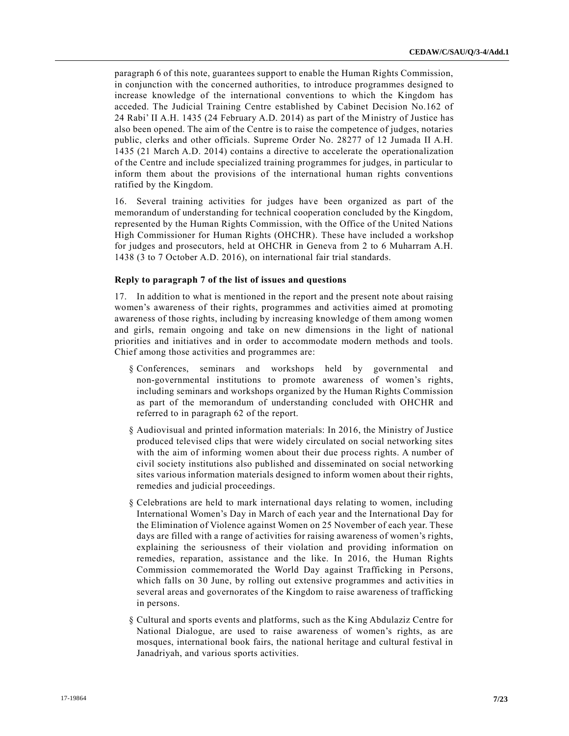paragraph 6 of this note, guarantees support to enable the Human Rights Commission, in conjunction with the concerned authorities, to introduce programmes designed to increase knowledge of the international conventions to which the Kingdom has acceded. The Judicial Training Centre established by Cabinet Decision No.162 of 24 Rabi' II A.H. 1435 (24 February A.D. 2014) as part of the Ministry of Justice has also been opened. The aim of the Centre is to raise the competence of judges, notaries public, clerks and other officials. Supreme Order No. 28277 of 12 Jumada II A.H. 1435 (21 March A.D. 2014) contains a directive to accelerate the operationalization of the Centre and include specialized training programmes for judges, in particular to inform them about the provisions of the international human rights conventions ratified by the Kingdom.

16. Several training activities for judges have been organized as part of the memorandum of understanding for technical cooperation concluded by the Kingdom, represented by the Human Rights Commission, with the Office of the United Nations High Commissioner for Human Rights (OHCHR). These have included a workshop for judges and prosecutors, held at OHCHR in Geneva from 2 to 6 Muharram A.H. 1438 (3 to 7 October A.D. 2016), on international fair trial standards.

#### **Reply to paragraph 7 of the list of issues and questions**

17. In addition to what is mentioned in the report and the present note about raising women's awareness of their rights, programmes and activities aimed at promoting awareness of those rights, including by increasing knowledge of them among women and girls, remain ongoing and take on new dimensions in the light of national priorities and initiatives and in order to accommodate modern methods and tools. Chief among those activities and programmes are:

- § Conferences, seminars and workshops held by governmental and non-governmental institutions to promote awareness of women's rights, including seminars and workshops organized by the Human Rights Commission as part of the memorandum of understanding concluded with OHCHR and referred to in paragraph 62 of the report.
- § Audiovisual and printed information materials: In 2016, the Ministry of Justice produced televised clips that were widely circulated on social networking sites with the aim of informing women about their due process rights. A number of civil society institutions also published and disseminated on social networking sites various information materials designed to inform women about their rights, remedies and judicial proceedings.
- § Celebrations are held to mark international days relating to women, including International Women's Day in March of each year and the International Day for the Elimination of Violence against Women on 25 November of each year. These days are filled with a range of activities for raising awareness of women's rights, explaining the seriousness of their violation and providing information on remedies, reparation, assistance and the like. In 2016, the Human Rights Commission commemorated the World Day against Trafficking in Persons, which falls on 30 June, by rolling out extensive programmes and activities in several areas and governorates of the Kingdom to raise awareness of trafficking in persons.
- § Cultural and sports events and platforms, such as the King Abdulaziz Centre for National Dialogue, are used to raise awareness of women's rights, as are mosques, international book fairs, the national heritage and cultural festival in Janadriyah, and various sports activities.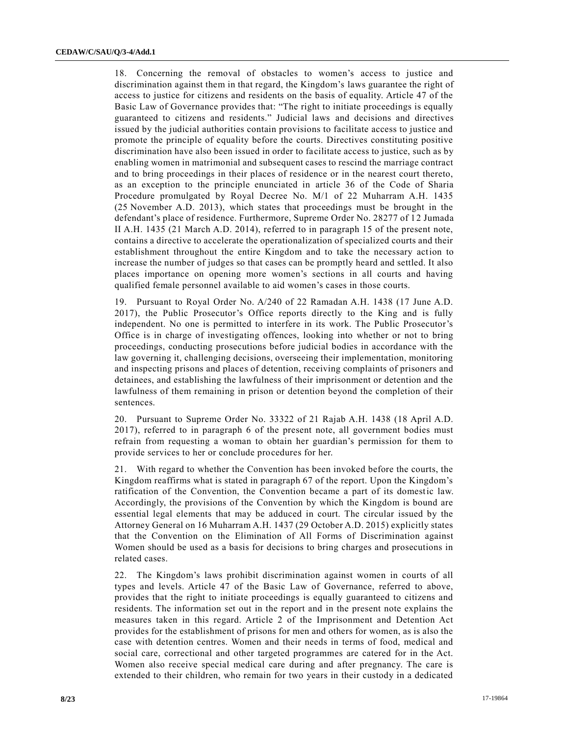18. Concerning the removal of obstacles to women's access to justice and discrimination against them in that regard, the Kingdom's laws guarantee the right of access to justice for citizens and residents on the basis of equality. Article 47 of the Basic Law of Governance provides that: "The right to initiate proceedings is equally guaranteed to citizens and residents." Judicial laws and decisions and directives issued by the judicial authorities contain provisions to facilitate access to justice and promote the principle of equality before the courts. Directives constituting positive discrimination have also been issued in order to facilitate access to justice, such as by enabling women in matrimonial and subsequent cases to rescind the marriage contract and to bring proceedings in their places of residence or in the nearest court thereto, as an exception to the principle enunciated in article 36 of the Code of Sharia Procedure promulgated by Royal Decree No. M/1 of 22 Muharram A.H. 1435 (25 November A.D. 2013), which states that proceedings must be brought in the defendant's place of residence. Furthermore, Supreme Order No. 28277 of 12 Jumada II A.H. 1435 (21 March A.D. 2014), referred to in paragraph 15 of the present note, contains a directive to accelerate the operationalization of specialized courts and their establishment throughout the entire Kingdom and to take the necessary action to increase the number of judges so that cases can be promptly heard and settled. It also places importance on opening more women's sections in all courts and having qualified female personnel available to aid women's cases in those courts.

19. Pursuant to Royal Order No. A/240 of 22 Ramadan A.H. 1438 (17 June A.D. 2017), the Public Prosecutor's Office reports directly to the King and is fully independent. No one is permitted to interfere in its work. The Public Prosecutor's Office is in charge of investigating offences, looking into whether or not to bring proceedings, conducting prosecutions before judicial bodies in accordance with the law governing it, challenging decisions, overseeing their implementation, monitoring and inspecting prisons and places of detention, receiving complaints of prisoners and detainees, and establishing the lawfulness of their imprisonment or detention and the lawfulness of them remaining in prison or detention beyond the completion of their sentences.

20. Pursuant to Supreme Order No. 33322 of 21 Rajab A.H. 1438 (18 April A.D. 2017), referred to in paragraph 6 of the present note, all government bodies must refrain from requesting a woman to obtain her guardian's permission for them to provide services to her or conclude procedures for her.

21. With regard to whether the Convention has been invoked before the courts, the Kingdom reaffirms what is stated in paragraph 67 of the report. Upon the Kingdom's ratification of the Convention, the Convention became a part of its domestic law. Accordingly, the provisions of the Convention by which the Kingdom is bound are essential legal elements that may be adduced in court. The circular issued by the Attorney General on 16 Muharram A.H. 1437 (29 October A.D. 2015) explicitly states that the Convention on the Elimination of All Forms of Discrimination against Women should be used as a basis for decisions to bring charges and prosecutions in related cases.

22. The Kingdom's laws prohibit discrimination against women in courts of all types and levels. Article 47 of the Basic Law of Governance, referred to above, provides that the right to initiate proceedings is equally guaranteed to citizens and residents. The information set out in the report and in the present note explains the measures taken in this regard. Article 2 of the Imprisonment and Detention Act provides for the establishment of prisons for men and others for women, as is also the case with detention centres. Women and their needs in terms of food, medical and social care, correctional and other targeted programmes are catered for in the Act. Women also receive special medical care during and after pregnancy. The care is extended to their children, who remain for two years in their custody in a dedicated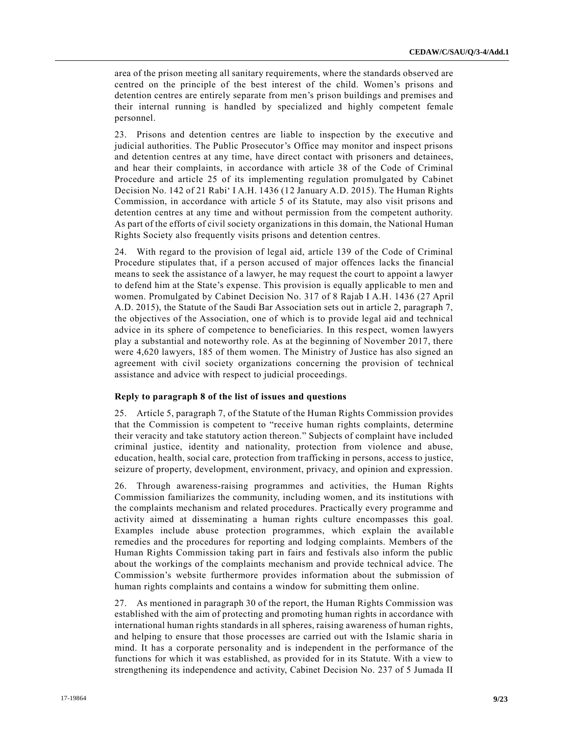area of the prison meeting all sanitary requirements, where the standards observed are centred on the principle of the best interest of the child. Women's prisons and detention centres are entirely separate from men's prison buildings and premises and their internal running is handled by specialized and highly competent female personnel.

23. Prisons and detention centres are liable to inspection by the executive and judicial authorities. The Public Prosecutor's Office may monitor and inspect prisons and detention centres at any time, have direct contact with prisoners and detainees, and hear their complaints, in accordance with article 38 of the Code of Criminal Procedure and article 25 of its implementing regulation promulgated by Cabinet Decision No. 142 of 21 Rabi' I A.H. 1436 (12 January A.D. 2015). The Human Rights Commission, in accordance with article 5 of its Statute, may also visit prisons and detention centres at any time and without permission from the competent authority. As part of the efforts of civil society organizations in this domain, the National Human Rights Society also frequently visits prisons and detention centres.

24. With regard to the provision of legal aid, article 139 of the Code of Criminal Procedure stipulates that, if a person accused of major offences lacks the financial means to seek the assistance of a lawyer, he may request the court to appoint a lawyer to defend him at the State's expense. This provision is equally applicable to men and women. Promulgated by Cabinet Decision No. 317 of 8 Rajab I A.H. 1436 (27 April A.D. 2015), the Statute of the Saudi Bar Association sets out in article 2, paragraph 7, the objectives of the Association, one of which is to provide legal aid and technical advice in its sphere of competence to beneficiaries. In this respect, women lawyers play a substantial and noteworthy role. As at the beginning of November 2017, there were 4,620 lawyers, 185 of them women. The Ministry of Justice has also signed an agreement with civil society organizations concerning the provision of technical assistance and advice with respect to judicial proceedings.

#### **Reply to paragraph 8 of the list of issues and questions**

25. Article 5, paragraph 7, of the Statute of the Human Rights Commission provides that the Commission is competent to "receive human rights complaints, determine their veracity and take statutory action thereon." Subjects of complaint have included criminal justice, identity and nationality, protection from violence and abuse, education, health, social care, protection from trafficking in persons, access to justice, seizure of property, development, environment, privacy, and opinion and expression.

26. Through awareness-raising programmes and activities, the Human Rights Commission familiarizes the community, including women, and its institutions with the complaints mechanism and related procedures. Practically every programme and activity aimed at disseminating a human rights culture encompasses this goal. Examples include abuse protection programmes, which explain the available remedies and the procedures for reporting and lodging complaints. Members of the Human Rights Commission taking part in fairs and festivals also inform the public about the workings of the complaints mechanism and provide technical advice. The Commission's website furthermore provides information about the submission of human rights complaints and contains a window for submitting them online.

27. As mentioned in paragraph 30 of the report, the Human Rights Commission was established with the aim of protecting and promoting human rights in accordance with international human rights standards in all spheres, raising awareness of human rights, and helping to ensure that those processes are carried out with the Islamic sharia in mind. It has a corporate personality and is independent in the performance of the functions for which it was established, as provided for in its Statute. With a view to strengthening its independence and activity, Cabinet Decision No. 237 of 5 Jumada II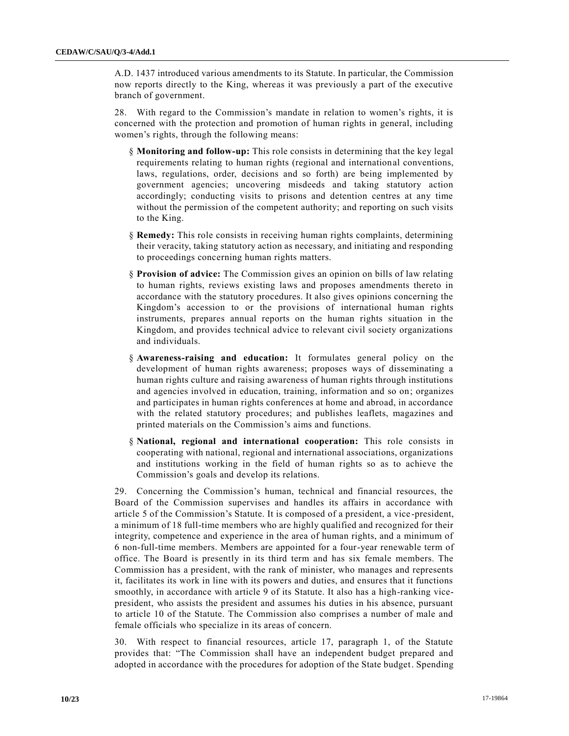A.D. 1437 introduced various amendments to its Statute. In particular, the Commission now reports directly to the King, whereas it was previously a part of the executive branch of government.

28. With regard to the Commission's mandate in relation to women's rights, it is concerned with the protection and promotion of human rights in general, including women's rights, through the following means:

- § **Monitoring and follow-up:** This role consists in determining that the key legal requirements relating to human rights (regional and international conventions, laws, regulations, order, decisions and so forth) are being implemented by government agencies; uncovering misdeeds and taking statutory action accordingly; conducting visits to prisons and detention centres at any time without the permission of the competent authority; and reporting on such visits to the King.
- § **Remedy:** This role consists in receiving human rights complaints, determining their veracity, taking statutory action as necessary, and initiating and responding to proceedings concerning human rights matters.
- § **Provision of advice:** The Commission gives an opinion on bills of law relating to human rights, reviews existing laws and proposes amendments thereto in accordance with the statutory procedures. It also gives opinions concerning the Kingdom's accession to or the provisions of international human rights instruments, prepares annual reports on the human rights situation in the Kingdom, and provides technical advice to relevant civil society organizations and individuals.
- § **Awareness-raising and education:** It formulates general policy on the development of human rights awareness; proposes ways of disseminating a human rights culture and raising awareness of human rights through institutions and agencies involved in education, training, information and so on; organizes and participates in human rights conferences at home and abroad, in accordance with the related statutory procedures; and publishes leaflets, magazines and printed materials on the Commission's aims and functions.
- § **National, regional and international cooperation:** This role consists in cooperating with national, regional and international associations, organizations and institutions working in the field of human rights so as to achieve the Commission's goals and develop its relations.

29. Concerning the Commission's human, technical and financial resources, the Board of the Commission supervises and handles its affairs in accordance with article 5 of the Commission's Statute. It is composed of a president, a vice -president, a minimum of 18 full-time members who are highly qualified and recognized for their integrity, competence and experience in the area of human rights, and a minimum of 6 non-full-time members. Members are appointed for a four-year renewable term of office. The Board is presently in its third term and has six female members. The Commission has a president, with the rank of minister, who manages and represents it, facilitates its work in line with its powers and duties, and ensures that it functions smoothly, in accordance with article 9 of its Statute. It also has a high-ranking vicepresident, who assists the president and assumes his duties in his absence, pursuant to article 10 of the Statute. The Commission also comprises a number of male and female officials who specialize in its areas of concern.

30. With respect to financial resources, article 17, paragraph 1, of the Statute provides that: "The Commission shall have an independent budget prepared and adopted in accordance with the procedures for adoption of the State budget. Spending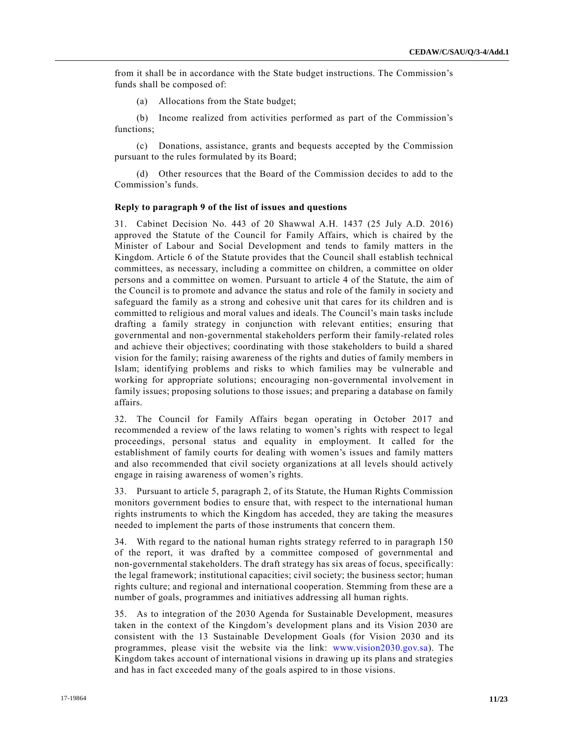from it shall be in accordance with the State budget instructions. The Commission's funds shall be composed of:

(a) Allocations from the State budget;

(b) Income realized from activities performed as part of the Commission's functions;

(c) Donations, assistance, grants and bequests accepted by the Commission pursuant to the rules formulated by its Board;

(d) Other resources that the Board of the Commission decides to add to the Commission's funds.

#### **Reply to paragraph 9 of the list of issues and questions**

31. Cabinet Decision No. 443 of 20 Shawwal A.H. 1437 (25 July A.D. 2016) approved the Statute of the Council for Family Affairs, which is chaired by the Minister of Labour and Social Development and tends to family matters in the Kingdom. Article 6 of the Statute provides that the Council shall establish technical committees, as necessary, including a committee on children, a committee on older persons and a committee on women. Pursuant to article 4 of the Statute, the aim of the Council is to promote and advance the status and role of the family in society and safeguard the family as a strong and cohesive unit that cares for its children and is committed to religious and moral values and ideals. The Council's main tasks include drafting a family strategy in conjunction with relevant entities; ensuring that governmental and non-governmental stakeholders perform their family-related roles and achieve their objectives; coordinating with those stakeholders to build a shared vision for the family; raising awareness of the rights and duties of family members in Islam; identifying problems and risks to which families may be vulnerable and working for appropriate solutions; encouraging non-governmental involvement in family issues; proposing solutions to those issues; and preparing a database on family affairs.

32. The Council for Family Affairs began operating in October 2017 and recommended a review of the laws relating to women's rights with respect to legal proceedings, personal status and equality in employment. It called for the establishment of family courts for dealing with women's issues and family matters and also recommended that civil society organizations at all levels should actively engage in raising awareness of women's rights.

33. Pursuant to article 5, paragraph 2, of its Statute, the Human Rights Commission monitors government bodies to ensure that, with respect to the international human rights instruments to which the Kingdom has acceded, they are taking the measures needed to implement the parts of those instruments that concern them.

34. With regard to the national human rights strategy referred to in paragraph 150 of the report, it was drafted by a committee composed of governmental and non-governmental stakeholders. The draft strategy has six areas of focus, specifically: the legal framework; institutional capacities; civil society; the business sector; human rights culture; and regional and international cooperation. Stemming from these are a number of goals, programmes and initiatives addressing all human rights.

35. As to integration of the 2030 Agenda for Sustainable Development, measures taken in the context of the Kingdom's development plans and its Vision 2030 are consistent with the 13 Sustainable Development Goals (for Vision 2030 and its programmes, please visit the website via the link: [www.vision2030.gov.sa\)](http://www.vision2030.gov.sa/). The Kingdom takes account of international visions in drawing up its plans and strategies and has in fact exceeded many of the goals aspired to in those visions.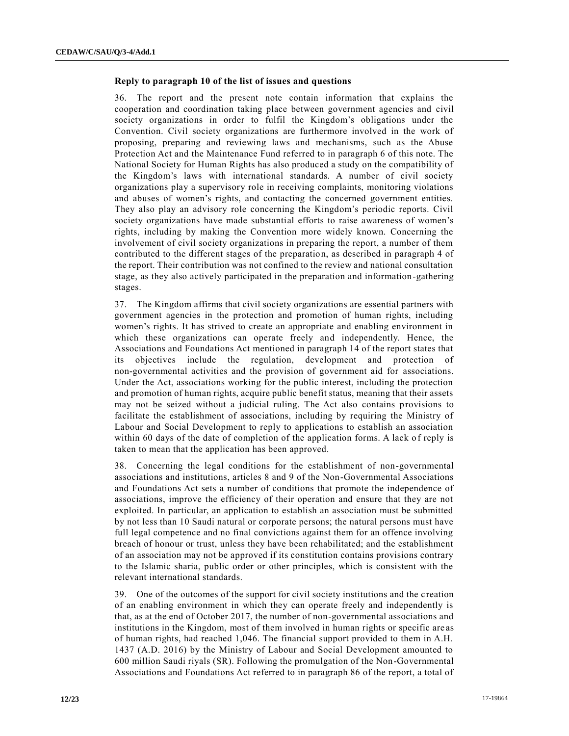# **Reply to paragraph 10 of the list of issues and questions**

36. The report and the present note contain information that explains the cooperation and coordination taking place between government agencies and civil society organizations in order to fulfil the Kingdom's obligations under the Convention. Civil society organizations are furthermore involved in the work of proposing, preparing and reviewing laws and mechanisms, such as the Abuse Protection Act and the Maintenance Fund referred to in paragraph 6 of this note. The National Society for Human Rights has also produced a study on the compatibility of the Kingdom's laws with international standards. A number of civil society organizations play a supervisory role in receiving complaints, monitoring violations and abuses of women's rights, and contacting the concerned government entities. They also play an advisory role concerning the Kingdom's periodic reports. Civil society organizations have made substantial efforts to raise awareness of women's rights, including by making the Convention more widely known. Concerning the involvement of civil society organizations in preparing the report, a number of them contributed to the different stages of the preparation, as described in paragraph 4 of the report. Their contribution was not confined to the review and national consultation stage, as they also actively participated in the preparation and information-gathering stages.

37. The Kingdom affirms that civil society organizations are essential partners with government agencies in the protection and promotion of human rights, including women's rights. It has strived to create an appropriate and enabling environment in which these organizations can operate freely and independently. Hence, the Associations and Foundations Act mentioned in paragraph 14 of the report states that its objectives include the regulation, development and protection of non-governmental activities and the provision of government aid for associations. Under the Act, associations working for the public interest, including the protection and promotion of human rights, acquire public benefit status, meaning that their assets may not be seized without a judicial ruling. The Act also contains provisions to facilitate the establishment of associations, including by requiring the Ministry of Labour and Social Development to reply to applications to establish an association within 60 days of the date of completion of the application forms. A lack of reply is taken to mean that the application has been approved.

38. Concerning the legal conditions for the establishment of non-governmental associations and institutions, articles 8 and 9 of the Non-Governmental Associations and Foundations Act sets a number of conditions that promote the independence of associations, improve the efficiency of their operation and ensure that they are not exploited. In particular, an application to establish an association must be submitted by not less than 10 Saudi natural or corporate persons; the natural persons must have full legal competence and no final convictions against them for an offence involving breach of honour or trust, unless they have been rehabilitated; and the establishment of an association may not be approved if its constitution contains provisions contrary to the Islamic sharia, public order or other principles, which is consistent with the relevant international standards.

39. One of the outcomes of the support for civil society institutions and the creation of an enabling environment in which they can operate freely and independently is that, as at the end of October 2017, the number of non-governmental associations and institutions in the Kingdom, most of them involved in human rights or specific are as of human rights, had reached 1,046. The financial support provided to them in A.H. 1437 (A.D. 2016) by the Ministry of Labour and Social Development amounted to 600 million Saudi riyals (SR). Following the promulgation of the Non-Governmental Associations and Foundations Act referred to in paragraph 86 of the report, a total of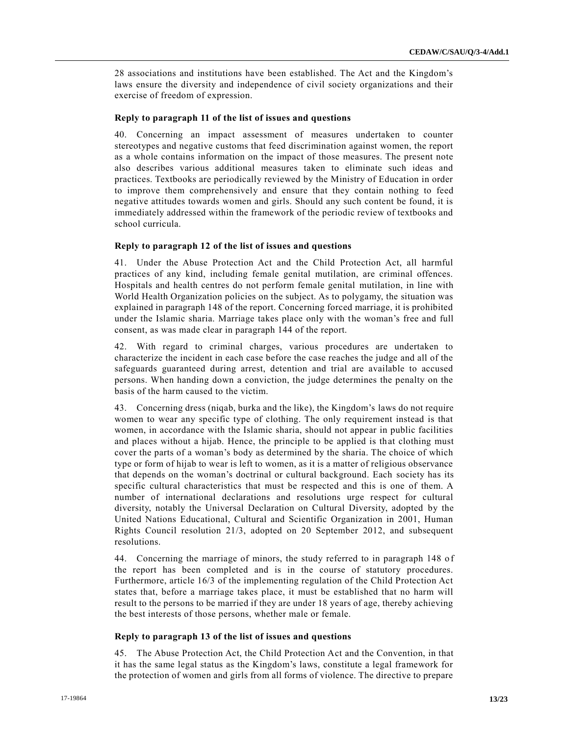28 associations and institutions have been established. The Act and the Kingdom's laws ensure the diversity and independence of civil society organizations and their exercise of freedom of expression.

#### **Reply to paragraph 11 of the list of issues and questions**

40. Concerning an impact assessment of measures undertaken to counter stereotypes and negative customs that feed discrimination against women, the report as a whole contains information on the impact of those measures. The present note also describes various additional measures taken to eliminate such ideas and practices. Textbooks are periodically reviewed by the Ministry of Education in order to improve them comprehensively and ensure that they contain nothing to feed negative attitudes towards women and girls. Should any such content be found, it is immediately addressed within the framework of the periodic review of textbooks and school curricula.

#### **Reply to paragraph 12 of the list of issues and questions**

41. Under the Abuse Protection Act and the Child Protection Act, all harmful practices of any kind, including female genital mutilation, are criminal offences. Hospitals and health centres do not perform female genital mutilation, in line with World Health Organization policies on the subject. As to polygamy, the situation was explained in paragraph 148 of the report. Concerning forced marriage, it is prohibited under the Islamic sharia. Marriage takes place only with the woman's free and full consent, as was made clear in paragraph 144 of the report.

42. With regard to criminal charges, various procedures are undertaken to characterize the incident in each case before the case reaches the judge and all of the safeguards guaranteed during arrest, detention and trial are available to accused persons. When handing down a conviction, the judge determines the penalty on the basis of the harm caused to the victim.

43. Concerning dress (niqab, burka and the like), the Kingdom's laws do not require women to wear any specific type of clothing. The only requirement instead is that women, in accordance with the Islamic sharia, should not appear in public facilities and places without a hijab. Hence, the principle to be applied is that clothing must cover the parts of a woman's body as determined by the sharia. The choice of which type or form of hijab to wear is left to women, as it is a matter of religious observance that depends on the woman's doctrinal or cultural background. Each society has its specific cultural characteristics that must be respected and this is one of them. A number of international declarations and resolutions urge respect for cultural diversity, notably the Universal Declaration on Cultural Diversity, adopted by the United Nations Educational, Cultural and Scientific Organization in 2001, Human Rights Council resolution 21/3, adopted on 20 September 2012, and subsequent resolutions.

44. Concerning the marriage of minors, the study referred to in paragraph 148 of the report has been completed and is in the course of statutory procedures. Furthermore, article 16/3 of the implementing regulation of the Child Protection Act states that, before a marriage takes place, it must be established that no harm will result to the persons to be married if they are under 18 years of age, thereby achieving the best interests of those persons, whether male or female.

#### **Reply to paragraph 13 of the list of issues and questions**

45. The Abuse Protection Act, the Child Protection Act and the Convention, in that it has the same legal status as the Kingdom's laws, constitute a legal framework for the protection of women and girls from all forms of violence. The directive to prepare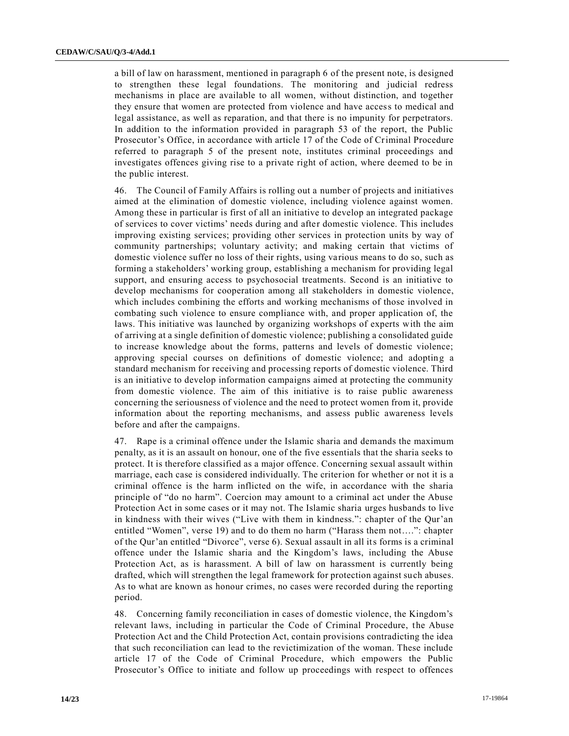a bill of law on harassment, mentioned in paragraph 6 of the present note, is designed to strengthen these legal foundations. The monitoring and judicial redress mechanisms in place are available to all women, without distinction, and together they ensure that women are protected from violence and have access to medical and legal assistance, as well as reparation, and that there is no impunity for perpetrators. In addition to the information provided in paragraph 53 of the report, the Public Prosecutor's Office, in accordance with article 17 of the Code of Criminal Procedure referred to paragraph 5 of the present note, institutes criminal proceedings and investigates offences giving rise to a private right of action, where deemed to be in the public interest.

46. The Council of Family Affairs is rolling out a number of projects and initiatives aimed at the elimination of domestic violence, including violence against women. Among these in particular is first of all an initiative to develop an integrated package of services to cover victims' needs during and after domestic violence. This includes improving existing services; providing other services in protection units by way of community partnerships; voluntary activity; and making certain that victims of domestic violence suffer no loss of their rights, using va rious means to do so, such as forming a stakeholders' working group, establishing a mechanism for providing legal support, and ensuring access to psychosocial treatments. Second is an initiative to develop mechanisms for cooperation among all stakeholders in domestic violence, which includes combining the efforts and working mechanisms of those involved in combating such violence to ensure compliance with, and proper application of, the laws. This initiative was launched by organizing workshops of experts with the aim of arriving at a single definition of domestic violence; publishing a consolidated guide to increase knowledge about the forms, patterns and levels of domestic violence; approving special courses on definitions of domestic violence; and adopting a standard mechanism for receiving and processing reports of domestic violence. Third is an initiative to develop information campaigns aimed at protecting the community from domestic violence. The aim of this initiative is to raise public awareness concerning the seriousness of violence and the need to protect women from it, provide information about the reporting mechanisms, and assess public awareness levels before and after the campaigns.

47. Rape is a criminal offence under the Islamic sharia and demands the maximum penalty, as it is an assault on honour, one of the five essentials that the sharia seeks to protect. It is therefore classified as a major offence. Concerning sexual assault within marriage, each case is considered individually. The criterion for whether or not it is a criminal offence is the harm inflicted on the wife, in accordance with the sharia principle of "do no harm". Coercion may amount to a criminal act under the Abuse Protection Act in some cases or it may not. The Islamic sharia urges husbands to live in kindness with their wives ("Live with them in kindness.": chapter of the Qur'an entitled "Women", verse 19) and to do them no harm ("Harass them not….": chapter of the Qur'an entitled "Divorce", verse 6). Sexual assault in all its forms is a criminal offence under the Islamic sharia and the Kingdom's laws, including the Abuse Protection Act, as is harassment. A bill of law on harassment is currently being drafted, which will strengthen the legal framework for protection against such abuses. As to what are known as honour crimes, no cases were recorded during the reporting period.

48. Concerning family reconciliation in cases of domestic violence, the Kingdom's relevant laws, including in particular the Code of Criminal Procedure, the Abuse Protection Act and the Child Protection Act, contain provisions contradicting the idea that such reconciliation can lead to the revictimization of the woman. These include article 17 of the Code of Criminal Procedure, which empowers the Public Prosecutor's Office to initiate and follow up proceedings with respect to offences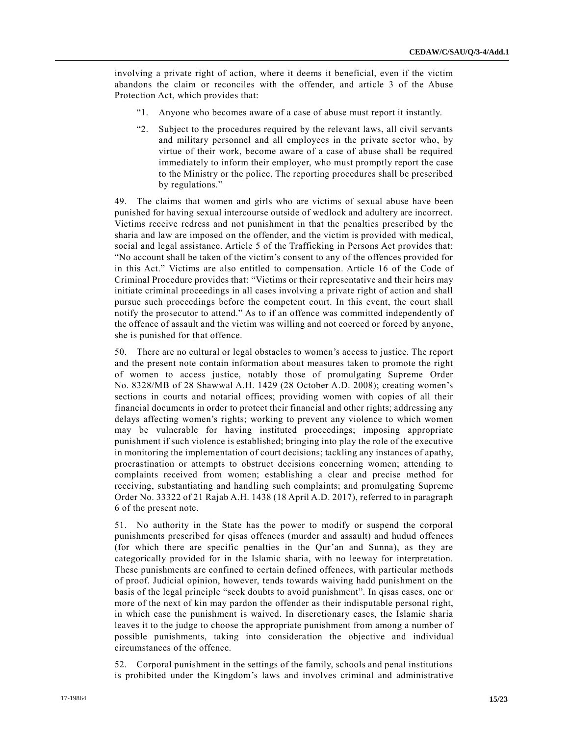involving a private right of action, where it deems it beneficial, even if the victim abandons the claim or reconciles with the offender, and article 3 of the Abuse Protection Act, which provides that:

- "1. Anyone who becomes aware of a case of abuse must report it instantly.
- "2. Subject to the procedures required by the relevant laws, all civil servants and military personnel and all employees in the private sector who, by virtue of their work, become aware of a case of abuse shall be required immediately to inform their employer, who must promptly report the case to the Ministry or the police. The reporting procedures shall be prescribed by regulations."

49. The claims that women and girls who are victims of sexual abuse have been punished for having sexual intercourse outside of wedlock and adultery are incorrect. Victims receive redress and not punishment in that the penalties prescribed by the sharia and law are imposed on the offender, and the victim is provided with medical, social and legal assistance. Article 5 of the Trafficking in Persons Act provides that: "No account shall be taken of the victim's consent to any of the offences provided for in this Act." Victims are also entitled to compensation. Article 16 of the Code of Criminal Procedure provides that: "Victims or their representative and their heirs may initiate criminal proceedings in all cases involving a private right of action and shall pursue such proceedings before the competent court. In this event, the court shall notify the prosecutor to attend." As to if an offence was committed independently of the offence of assault and the victim was willing and not coerced or forced by anyone, she is punished for that offence.

50. There are no cultural or legal obstacles to women's access to justice. The report and the present note contain information about measures taken to promote the right of women to access justice, notably those of promulgating Supreme Order No. 8328/MB of 28 Shawwal A.H. 1429 (28 October A.D. 2008); creating women's sections in courts and notarial offices; providing women with copies of all their financial documents in order to protect their financial and other rights; addressing any delays affecting women's rights; working to prevent any violence to which women may be vulnerable for having instituted proceedings; imposing appropriate punishment if such violence is established; bringing into play the role of the executive in monitoring the implementation of court decisions; tackling any instances of apathy, procrastination or attempts to obstruct decisions concerning women; attending to complaints received from women; establishing a clear and precise method for receiving, substantiating and handling such complaints; and promulgating Supreme Order No. 33322 of 21 Rajab A.H. 1438 (18 April A.D. 2017), referred to in paragraph 6 of the present note.

51. No authority in the State has the power to modify or suspend the corporal punishments prescribed for qisas offences (murder and assault) and hudud offences (for which there are specific penalties in the Qur'an and Sunna), as they are categorically provided for in the Islamic sharia, with no leeway for interpretation. These punishments are confined to certain defined offences, with particular methods of proof. Judicial opinion, however, tends towards waiving hadd punishment on the basis of the legal principle "seek doubts to avoid punishment". In qisas cases, one or more of the next of kin may pardon the offender as their indisputable personal right, in which case the punishment is waived. In discretionary cases, the Islamic sharia leaves it to the judge to choose the appropriate punishment from among a number of possible punishments, taking into consideration the objective and individual circumstances of the offence.

52. Corporal punishment in the settings of the family, schools and penal institutions is prohibited under the Kingdom's laws and involves criminal and administrative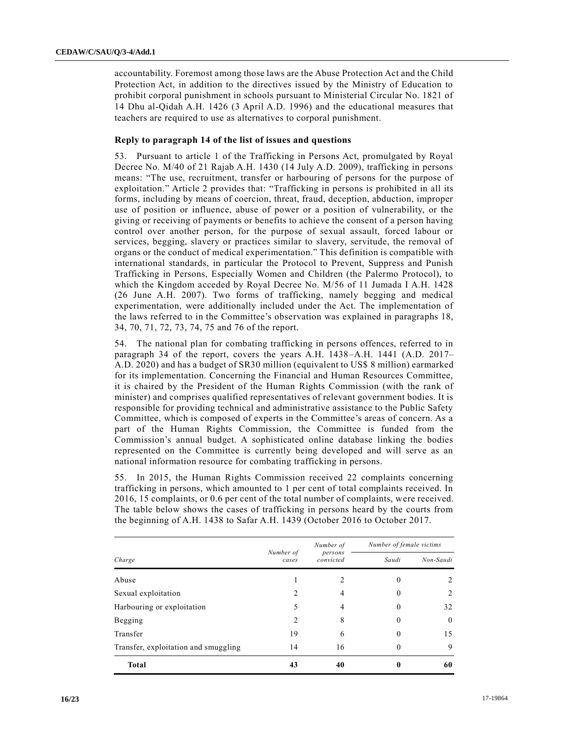accountability. Foremost among those laws are the Abuse Protection Act and the Child Protection Act, in addition to the directives issued by the Ministry of Education to prohibit corporal punishment in schools pursuant to Ministerial Circular No. 1821 of 14 Dhu al-Qidah A.H. 1426 (3 April A.D. 1996) and the educational measures that teachers are required to use as alternatives to corporal punishment.

#### **Reply to paragraph 14 of the list of issues and questions**

53. Pursuant to article 1 of the Trafficking in Persons Act, promulgated by Royal Decree No. M/40 of 21 Rajab A.H. 1430 (14 July A.D. 2009), trafficking in persons means: "The use, recruitment, transfer or harbouring of persons for the purpose of exploitation." Article 2 provides that: "Trafficking in persons is prohibited in all its forms, including by means of coercion, threat, fraud, deception, abduction, improper use of position or influence, abuse of power or a position of vulnerability, or the giving or receiving of payments or benefits to achieve the consent of a person having control over another person, for the purpose of sexual assault, forced labour or services, begging, slavery or practices similar to slavery, servitude, the removal of organs or the conduct of medical experimentation." This definition is compatible with international standards, in particular the Protocol to Prevent, Suppress and Punish Trafficking in Persons, Especially Women and Children (the Palermo Protocol), to which the Kingdom acceded by Royal Decree No. M/56 of 11 Jumada I A.H. 1428 (26 June A.H. 2007). Two forms of trafficking, namely begging and medical experimentation, were additionally included under the Act. The implementation of the laws referred to in the Committee's observation was explained in paragraphs 18, 34, 70, 71, 72, 73, 74, 75 and 76 of the report.

54. The national plan for combating trafficking in persons offences, referred to in paragraph 34 of the report, covers the years A.H. 1438–A.H. 1441 (A.D. 2017– A.D. 2020) and has a budget of SR30 million (equivalent to US\$ 8 million) earmarked for its implementation. Concerning the Financial and Human Resources Committee, it is chaired by the President of the Human Rights Commission (with the rank of minister) and comprises qualified representatives of relevant government bodies. It is responsible for providing technical and administrative assistance to the Public Safety Committee, which is composed of experts in the Committee's areas of concern. As a part of the Human Rights Commission, the Committee is funded from the Commission's annual budget. A sophisticated online database linking the bodies represented on the Committee is currently being developed and will serve as an national information resource for combating trafficking in persons.

55. In 2015, the Human Rights Commission received 22 complaints concerning trafficking in persons, which amounted to 1 per cent of total complaints received. In 2016, 15 complaints, or 0.6 per cent of the total number of complaints, were received. The table below shows the cases of trafficking in persons heard by the courts from the beginning of A.H. 1438 to Safar A.H. 1439 (October 2016 to October 2017.

| Charge                               | Number of<br>cases | Number of<br>persons<br>convicted | Number of female victims |           |
|--------------------------------------|--------------------|-----------------------------------|--------------------------|-----------|
|                                      |                    |                                   | Saudi                    | Non-Saudi |
| Abuse                                |                    |                                   | O                        |           |
| Sexual exploitation                  |                    | 4                                 | 0                        |           |
| Harbouring or exploitation           |                    | 4                                 | 0                        | 32        |
| Begging                              |                    | 8                                 | 0                        | $\theta$  |
| Transfer                             | 19                 | 6                                 | $\theta$                 | 15        |
| Transfer, exploitation and smuggling | 14                 | 16                                | $\theta$                 | 9         |
| <b>Total</b>                         | 43                 | 40                                |                          | 60        |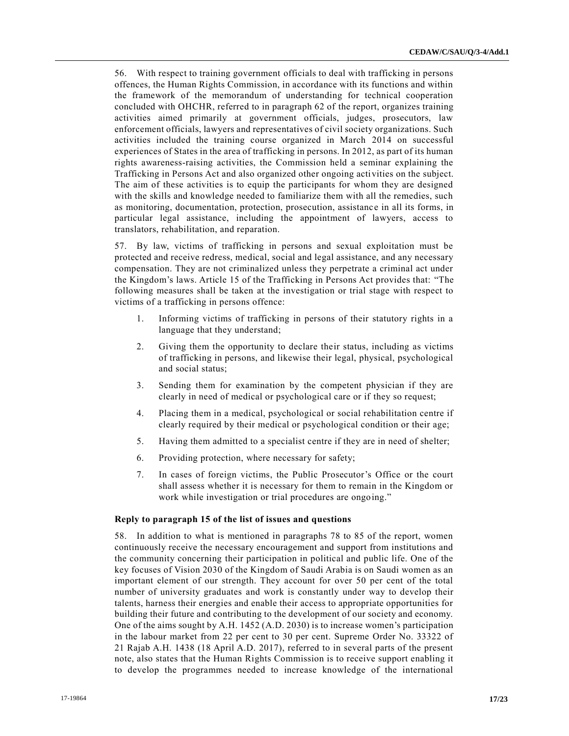56. With respect to training government officials to deal with trafficking in persons offences, the Human Rights Commission, in accordance with its functions and within the framework of the memorandum of understanding for technical cooperation concluded with OHCHR, referred to in paragraph 62 of the report, organizes training activities aimed primarily at government officials, judges, prosecutors, law enforcement officials, lawyers and representatives of civil society organizations. Such activities included the training course organized in March 2014 on successful experiences of States in the area of trafficking in persons. In 2012, as part of its human rights awareness-raising activities, the Commission held a seminar explaining the Trafficking in Persons Act and also organized other ongoing activities on the subject. The aim of these activities is to equip the participants for whom they are designed with the skills and knowledge needed to familiarize them with all the remedies, such as monitoring, documentation, protection, prosecution, assistanc e in all its forms, in particular legal assistance, including the appointment of lawyers, access to translators, rehabilitation, and reparation.

57. By law, victims of trafficking in persons and sexual exploitation must be protected and receive redress, medical, social and legal assistance, and any necessary compensation. They are not criminalized unless they perpetrate a criminal act under the Kingdom's laws. Article 15 of the Trafficking in Persons Act provides that: "The following measures shall be taken at the investigation or trial stage with respect to victims of a trafficking in persons offence:

- 1. Informing victims of trafficking in persons of their statutory rights in a language that they understand;
- 2. Giving them the opportunity to declare their status, including as victims of trafficking in persons, and likewise their legal, physical, psychological and social status;
- 3. Sending them for examination by the competent physician if they are clearly in need of medical or psychological care or if they so request;
- 4. Placing them in a medical, psychological or social rehabilitation centre if clearly required by their medical or psychological condition or their age;
- 5. Having them admitted to a specialist centre if they are in need of shelter;
- 6. Providing protection, where necessary for safety;
- 7. In cases of foreign victims, the Public Prosecutor's Office or the court shall assess whether it is necessary for them to remain in the Kingdom or work while investigation or trial procedures are ongoing."

#### **Reply to paragraph 15 of the list of issues and questions**

58. In addition to what is mentioned in paragraphs 78 to 85 of the report, women continuously receive the necessary encouragement and support from institutions and the community concerning their participation in political and public life. One of the key focuses of Vision 2030 of the Kingdom of Saudi Arabia is on Saudi women as an important element of our strength. They account for over 50 per cent of the total number of university graduates and work is constantly under way to develop their talents, harness their energies and enable their access to appropriate opportunities for building their future and contributing to the development of our society and economy. One of the aims sought by A.H. 1452 (A.D. 2030) is to increase women's participation in the labour market from 22 per cent to 30 per cent. Supreme Order No. 33322 of 21 Rajab A.H. 1438 (18 April A.D. 2017), referred to in several parts of the present note, also states that the Human Rights Commission is to receive support enabling it to develop the programmes needed to increase knowledge of the international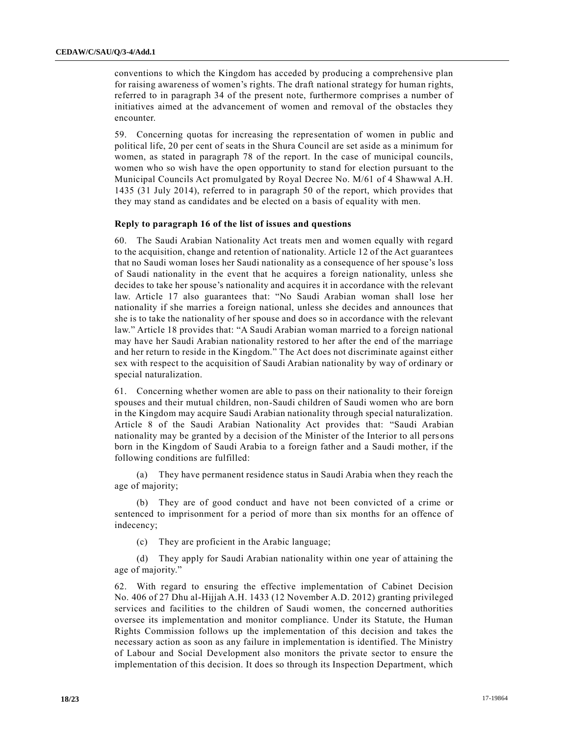conventions to which the Kingdom has acceded by producing a comprehensive plan for raising awareness of women's rights. The draft national strategy for human rights, referred to in paragraph 34 of the present note, furthermore comprises a number of initiatives aimed at the advancement of women and removal of the obstacles they encounter.

59. Concerning quotas for increasing the representation of women in public and political life, 20 per cent of seats in the Shura Council are set aside as a minimum for women, as stated in paragraph 78 of the report. In the case of municipal councils, women who so wish have the open opportunity to stand for election pursuant to the Municipal Councils Act promulgated by Royal Decree No. M/61 of 4 Shawwal A.H. 1435 (31 July 2014), referred to in paragraph 50 of the report, which provides that they may stand as candidates and be elected on a basis of equality with men.

#### **Reply to paragraph 16 of the list of issues and questions**

60. The Saudi Arabian Nationality Act treats men and women equally with regard to the acquisition, change and retention of nationality. Article 12 of the Act guarantees that no Saudi woman loses her Saudi nationality as a consequence of her spouse's loss of Saudi nationality in the event that he acquires a foreign nationality, unless she decides to take her spouse's nationality and acquires it in accordance with the relevant law. Article 17 also guarantees that: "No Saudi Arabian woman shall lose her nationality if she marries a foreign national, unless she decides and announces that she is to take the nationality of her spouse and does so in accordance with the relevant law." Article 18 provides that: "A Saudi Arabian woman married to a foreign national may have her Saudi Arabian nationality restored to her after the end of the marriage and her return to reside in the Kingdom." The Act does not discriminate against either sex with respect to the acquisition of Saudi Arabian nationality by way of ordinary or special naturalization.

61. Concerning whether women are able to pass on their nationality to their foreign spouses and their mutual children, non-Saudi children of Saudi women who are born in the Kingdom may acquire Saudi Arabian nationality through special naturalization. Article 8 of the Saudi Arabian Nationality Act provides that: "Saudi Arabian nationality may be granted by a decision of the Minister of the Interior to all pers ons born in the Kingdom of Saudi Arabia to a foreign father and a Saudi mother, if the following conditions are fulfilled:

(a) They have permanent residence status in Saudi Arabia when they reach the age of majority;

(b) They are of good conduct and have not been convicted of a crime or sentenced to imprisonment for a period of more than six months for an offence of indecency;

(c) They are proficient in the Arabic language;

(d) They apply for Saudi Arabian nationality within one year of attaining the age of majority."

62. With regard to ensuring the effective implementation of Cabinet Decision No. 406 of 27 Dhu al-Hijjah A.H. 1433 (12 November A.D. 2012) granting privileged services and facilities to the children of Saudi women, the concerned authorities oversee its implementation and monitor compliance. Under its Statute, the Human Rights Commission follows up the implementation of this decision and takes the necessary action as soon as any failure in implementation is identified. The Ministry of Labour and Social Development also monitors the private sector to ensure the implementation of this decision. It does so through its Inspection Department, which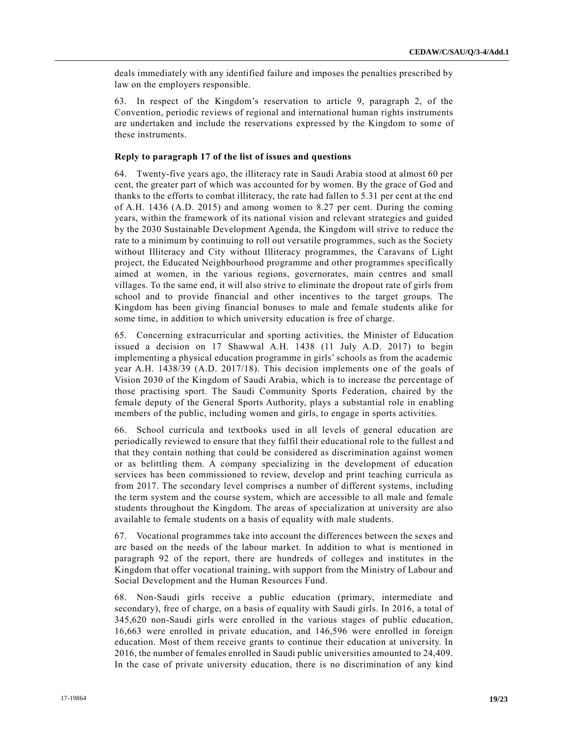deals immediately with any identified failure and imposes the penalties prescribed by law on the employers responsible.

63. In respect of the Kingdom's reservation to article 9, paragraph 2, of the Convention, periodic reviews of regional and international human rights instruments are undertaken and include the reservations expressed by the Kingdom to some of these instruments.

#### **Reply to paragraph 17 of the list of issues and questions**

64. Twenty-five years ago, the illiteracy rate in Saudi Arabia stood at almost 60 per cent, the greater part of which was accounted for by women. By the grace of God and thanks to the efforts to combat illiteracy, the rate had fallen to 5.31 per cent at the end of A.H. 1436 (A.D. 2015) and among women to 8.27 per cent. During the coming years, within the framework of its national vision and relevant strategies and guided by the 2030 Sustainable Development Agenda, the Kingdom will strive to reduce the rate to a minimum by continuing to roll out versatile programmes, such as the Society without Illiteracy and City without Illiteracy programmes, the Caravans of Light project, the Educated Neighbourhood programme and other programmes specifically aimed at women, in the various regions, governorates, main centres and small villages. To the same end, it will also strive to eliminate the dropout rate of girls from school and to provide financial and other incentives to the target groups. The Kingdom has been giving financial bonuses to male and female students alike for some time, in addition to which university education is free of charge.

65. Concerning extracurricular and sporting activities, the Minister of Education issued a decision on 17 Shawwal A.H. 1438 (11 July A.D. 2017) to begin implementing a physical education programme in girls' schools as from the academic year A.H. 1438/39 (A.D. 2017/18). This decision implements one of the goals of Vision 2030 of the Kingdom of Saudi Arabia, which is to increase the percentage of those practising sport. The Saudi Community Sports Federation, chaired by the female deputy of the General Sports Authority, plays a substantial role in enabling members of the public, including women and girls, to engage in sports activities.

66. School curricula and textbooks used in all levels of general education are periodically reviewed to ensure that they fulfil their educational role to the fullest a nd that they contain nothing that could be considered as discrimination against women or as belittling them. A company specializing in the development of education services has been commissioned to review, develop and print teaching curricula as from 2017. The secondary level comprises a number of different systems, including the term system and the course system, which are accessible to all male and female students throughout the Kingdom. The areas of specialization at university are also available to female students on a basis of equality with male students.

67. Vocational programmes take into account the differences between the sexes and are based on the needs of the labour market. In addition to what is mentioned in paragraph 92 of the report, there are hundreds of colleges and institutes in the Kingdom that offer vocational training, with support from the Ministry of Labour and Social Development and the Human Resources Fund.

68. Non-Saudi girls receive a public education (primary, intermediate and secondary), free of charge, on a basis of equality with Saudi girls. In 2016, a total of 345,620 non-Saudi girls were enrolled in the various stages of public education, 16,663 were enrolled in private education, and 146,596 were enrolled in foreign education. Most of them receive grants to continue their education at university. In 2016, the number of females enrolled in Saudi public universities amounted to 24,409. In the case of private university education, there is no discrimination of any kind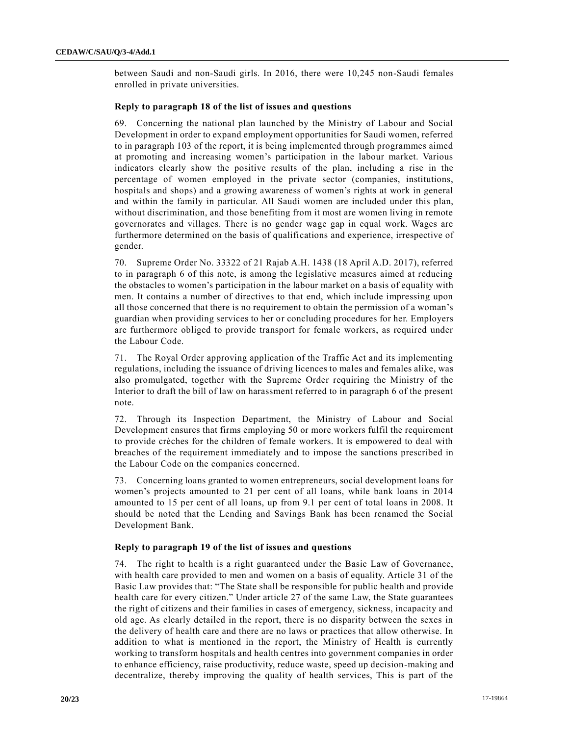between Saudi and non-Saudi girls. In 2016, there were 10,245 non-Saudi females enrolled in private universities.

# **Reply to paragraph 18 of the list of issues and questions**

69. Concerning the national plan launched by the Ministry of Labour and Social Development in order to expand employment opportunities for Saudi women, referred to in paragraph 103 of the report, it is being implemented through programmes aimed at promoting and increasing women's participation in the labour market. Various indicators clearly show the positive results of the plan, including a rise in the percentage of women employed in the private sector (companies, institutions, hospitals and shops) and a growing awareness of women's rights at work in general and within the family in particular. All Saudi women are included under this plan, without discrimination, and those benefiting from it most are women living in remote governorates and villages. There is no gender wage gap in equal work. Wages are furthermore determined on the basis of qualifications and experience, irrespective of gender.

70. Supreme Order No. 33322 of 21 Rajab A.H. 1438 (18 April A.D. 2017), referred to in paragraph 6 of this note, is among the legislative measures aimed at reducing the obstacles to women's participation in the labour market on a basis of equality with men. It contains a number of directives to that end, which include impressing upon all those concerned that there is no requirement to obtain the permission of a woman's guardian when providing services to her or concluding procedures for her. Employers are furthermore obliged to provide transport for female workers, as required under the Labour Code.

71. The Royal Order approving application of the Traffic Act and its implementing regulations, including the issuance of driving licences to males and females alike, was also promulgated, together with the Supreme Order requiring the Ministry of the Interior to draft the bill of law on harassment referred to in paragraph 6 of the present note.

72. Through its Inspection Department, the Ministry of Labour and Social Development ensures that firms employing 50 or more workers fulfil the requirement to provide crèches for the children of female workers. It is empowered to deal with breaches of the requirement immediately and to impose the sanctions prescribed in the Labour Code on the companies concerned.

73. Concerning loans granted to women entrepreneurs, social development loans for women's projects amounted to 21 per cent of all loans, while bank loans in 2014 amounted to 15 per cent of all loans, up from 9.1 per cent of total loans in 2008. It should be noted that the Lending and Savings Bank has been renamed the Social Development Bank.

# **Reply to paragraph 19 of the list of issues and questions**

74. The right to health is a right guaranteed under the Basic Law of Governance, with health care provided to men and women on a basis of equality. Article 31 of the Basic Law provides that: "The State shall be responsible for public health and provide health care for every citizen." Under article 27 of the same Law, the State guarantees the right of citizens and their families in cases of emergency, sickness, incapacity and old age. As clearly detailed in the report, there is no disparity between the sexes in the delivery of health care and there are no laws or practices that allow otherwise. In addition to what is mentioned in the report, the Ministry of Health is currently working to transform hospitals and health centres into government companies in order to enhance efficiency, raise productivity, reduce waste, speed up decision-making and decentralize, thereby improving the quality of health services, This is part of the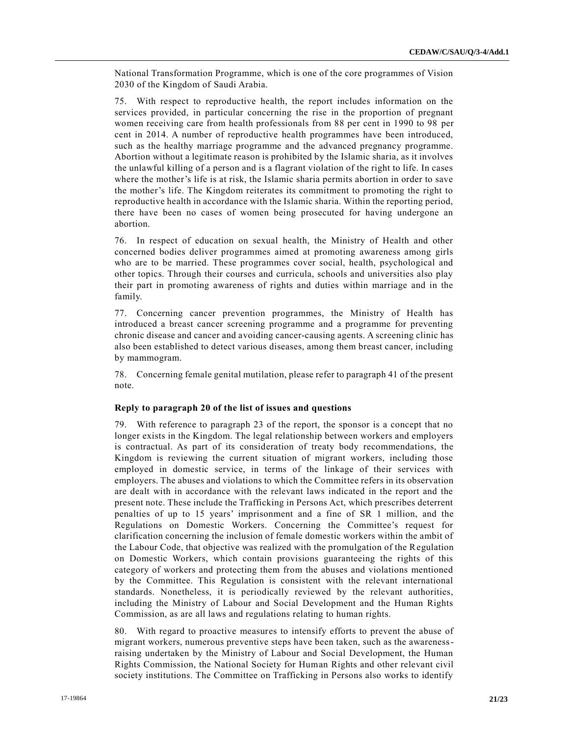National Transformation Programme, which is one of the core programmes of Vision 2030 of the Kingdom of Saudi Arabia.

75. With respect to reproductive health, the report includes information on the services provided, in particular concerning the rise in the proportion of pregnant women receiving care from health professionals from 88 per cent in 1990 to 98 per cent in 2014. A number of reproductive health programmes have been introduced, such as the healthy marriage programme and the advanced pregnancy programme. Abortion without a legitimate reason is prohibited by the Islamic sharia, as it involves the unlawful killing of a person and is a flagrant violation of the right to life. In cases where the mother's life is at risk, the Islamic sharia permits abortion in order to save the mother's life. The Kingdom reiterates its commitment to promoting the right to reproductive health in accordance with the Islamic sharia. Within the reporting period, there have been no cases of women being prosecuted for having undergone an abortion.

76. In respect of education on sexual health, the Ministry of Health and other concerned bodies deliver programmes aimed at promoting awareness among girls who are to be married. These programmes cover social, health, psychological and other topics. Through their courses and curricula, schools and universities also play their part in promoting awareness of rights and duties within marriage and in the family.

77. Concerning cancer prevention programmes, the Ministry of Health has introduced a breast cancer screening programme and a programme for preventing chronic disease and cancer and avoiding cancer-causing agents. A screening clinic has also been established to detect various diseases, among them breast cancer, including by mammogram.

78. Concerning female genital mutilation, please refer to paragraph 41 of the present note.

# **Reply to paragraph 20 of the list of issues and questions**

79. With reference to paragraph 23 of the report, the sponsor is a concept that no longer exists in the Kingdom. The legal relationship between workers and employers is contractual. As part of its consideration of treaty body recommendations, the Kingdom is reviewing the current situation of migrant workers, including those employed in domestic service, in terms of the linkage of their services with employers. The abuses and violations to which the Committee refers in its observation are dealt with in accordance with the relevant laws indicated in the report and the present note. These include the Trafficking in Persons Act, which prescribes deterrent penalties of up to 15 years' imprisonment and a fine of SR 1 million, and the Regulations on Domestic Workers. Concerning the Committee's request for clarification concerning the inclusion of female domestic workers within the ambit of the Labour Code, that objective was realized with the promulgation of the Regulation on Domestic Workers, which contain provisions guaranteeing the rights of this category of workers and protecting them from the abuses and violations mentioned by the Committee. This Regulation is consistent with the relevant international standards. Nonetheless, it is periodically reviewed by the relevant authorities, including the Ministry of Labour and Social Development and the Human Rights Commission, as are all laws and regulations relating to human rights.

80. With regard to proactive measures to intensify efforts to prevent the abuse of migrant workers, numerous preventive steps have been taken, such as the awarenessraising undertaken by the Ministry of Labour and Social Development, the Human Rights Commission, the National Society for Human Rights and other relevant civil society institutions. The Committee on Trafficking in Persons also works to identify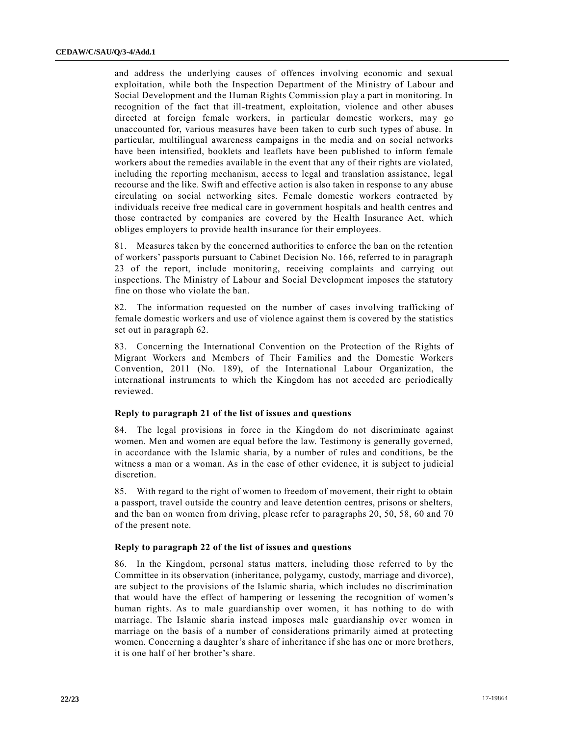and address the underlying causes of offences involving economic and sexual exploitation, while both the Inspection Department of the Ministry of Labour and Social Development and the Human Rights Commission play a part in monitoring. In recognition of the fact that ill-treatment, exploitation, violence and other abuses directed at foreign female workers, in particular domestic workers, may go unaccounted for, various measures have been taken to curb such types of abuse. In particular, multilingual awareness campaigns in the media and on social networks have been intensified, booklets and leaflets have been published to inform female workers about the remedies available in the event that any of their rights are violated, including the reporting mechanism, access to legal and translation assistance, legal recourse and the like. Swift and effective action is also taken in response to any abuse circulating on social networking sites. Female domestic workers contracted by individuals receive free medical care in government hospitals and health centres and those contracted by companies are covered by the Health Insurance Act, which obliges employers to provide health insurance for their employees.

81. Measures taken by the concerned authorities to enforce the ban on the retention of workers' passports pursuant to Cabinet Decision No. 166, referred to in paragraph 23 of the report, include monitoring, receiving complaints and carrying out inspections. The Ministry of Labour and Social Development imposes the statutory fine on those who violate the ban.

82. The information requested on the number of cases involving trafficking of female domestic workers and use of violence against them is covered by the statistics set out in paragraph 62.

83. Concerning the International Convention on the Protection of the Rights of Migrant Workers and Members of Their Families and the Domestic Workers Convention, 2011 (No. 189), of the International Labour Organization, the international instruments to which the Kingdom has not acceded are periodically reviewed.

#### **Reply to paragraph 21 of the list of issues and questions**

84. The legal provisions in force in the Kingdom do not discriminate against women. Men and women are equal before the law. Testimony is generally governed, in accordance with the Islamic sharia, by a number of rules and conditions, be the witness a man or a woman. As in the case of other evidence, it is subject to judicial discretion.

85. With regard to the right of women to freedom of movement, their right to obtain a passport, travel outside the country and leave detention centres, prisons or shelters, and the ban on women from driving, please refer to paragraphs 20, 50, 58, 60 and 70 of the present note.

# **Reply to paragraph 22 of the list of issues and questions**

86. In the Kingdom, personal status matters, including those referred to by the Committee in its observation (inheritance, polygamy, custody, marriage and divorce), are subject to the provisions of the Islamic sharia, which includes no discrimination that would have the effect of hampering or lessening the recognition of women's human rights. As to male guardianship over women, it has nothing to do with marriage. The Islamic sharia instead imposes male guardianship over women in marriage on the basis of a number of considerations primarily aimed at protecting women. Concerning a daughter's share of inheritance if she has one or more brothers, it is one half of her brother's share.